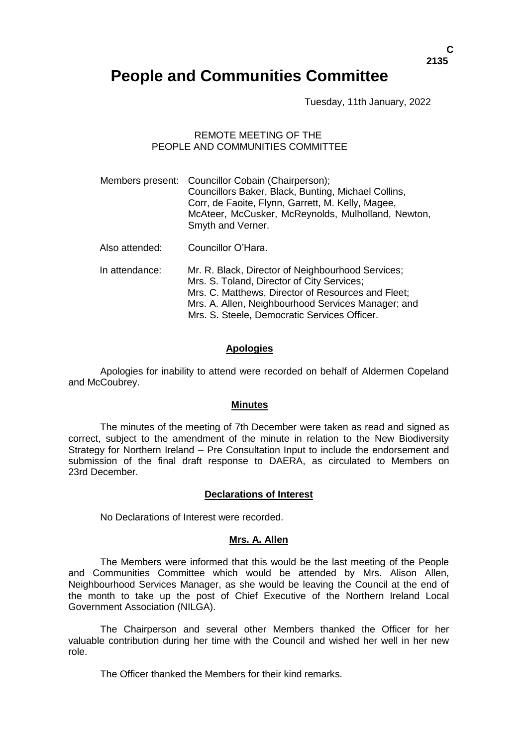# **People and Communities Committee**

Tuesday, 11th January, 2022

# REMOTE MEETING OF THE PEOPLE AND COMMUNITIES COMMITTEE

Members present: Councillor Cobain (Chairperson); Councillors Baker, Black, Bunting, Michael Collins, Corr, de Faoite, Flynn, Garrett, M. Kelly, Magee, McAteer, McCusker, McReynolds, Mulholland, Newton, Smyth and Verner. Also attended: Councillor O'Hara. In attendance: Mr. R. Black, Director of Neighbourhood Services; Mrs. S. Toland, Director of City Services; Mrs. C. Matthews, Director of Resources and Fleet; Mrs. A. Allen, Neighbourhood Services Manager; and Mrs. S. Steele, Democratic Services Officer.

#### **Apologies**

Apologies for inability to attend were recorded on behalf of Aldermen Copeland and McCoubrey.

#### **Minutes**

The minutes of the meeting of 7th December were taken as read and signed as correct, subject to the amendment of the minute in relation to the New Biodiversity Strategy for Northern Ireland – Pre Consultation Input to include the endorsement and submission of the final draft response to DAERA, as circulated to Members on 23rd December.

#### **Declarations of Interest**

No Declarations of Interest were recorded.

#### **Mrs. A. Allen**

The Members were informed that this would be the last meeting of the People and Communities Committee which would be attended by Mrs. Alison Allen, Neighbourhood Services Manager, as she would be leaving the Council at the end of the month to take up the post of Chief Executive of the Northern Ireland Local Government Association (NILGA).

The Chairperson and several other Members thanked the Officer for her valuable contribution during her time with the Council and wished her well in her new role.

The Officer thanked the Members for their kind remarks.

**C 2135**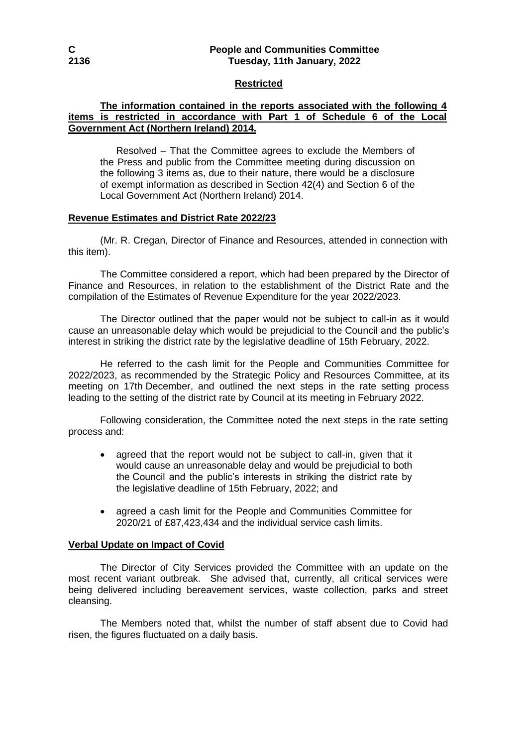## **C People and Communities Committee 2136 Tuesday, 11th January, 2022**

#### **Restricted**

## **The information contained in the reports associated with the following 4 items is restricted in accordance with Part 1 of Schedule 6 of the Local Government Act (Northern Ireland) 2014.**

Resolved – That the Committee agrees to exclude the Members of the Press and public from the Committee meeting during discussion on the following 3 items as, due to their nature, there would be a disclosure of exempt information as described in Section 42(4) and Section 6 of the Local Government Act (Northern Ireland) 2014.

# **Revenue Estimates and District Rate 2022/23**

(Mr. R. Cregan, Director of Finance and Resources, attended in connection with this item).

The Committee considered a report, which had been prepared by the Director of Finance and Resources, in relation to the establishment of the District Rate and the compilation of the Estimates of Revenue Expenditure for the year 2022/2023.

The Director outlined that the paper would not be subject to call-in as it would cause an unreasonable delay which would be prejudicial to the Council and the public's interest in striking the district rate by the legislative deadline of 15th February, 2022.

He referred to the cash limit for the People and Communities Committee for 2022/2023, as recommended by the Strategic Policy and Resources Committee, at its meeting on 17th December, and outlined the next steps in the rate setting process leading to the setting of the district rate by Council at its meeting in February 2022.

Following consideration, the Committee noted the next steps in the rate setting process and:

- agreed that the report would not be subject to call-in, given that it would cause an unreasonable delay and would be prejudicial to both the Council and the public's interests in striking the district rate by the legislative deadline of 15th February, 2022; and
- agreed a cash limit for the People and Communities Committee for 2020/21 of £87,423,434 and the individual service cash limits.

#### **Verbal Update on Impact of Covid**

The Director of City Services provided the Committee with an update on the most recent variant outbreak. She advised that, currently, all critical services were being delivered including bereavement services, waste collection, parks and street cleansing.

The Members noted that, whilst the number of staff absent due to Covid had risen, the figures fluctuated on a daily basis.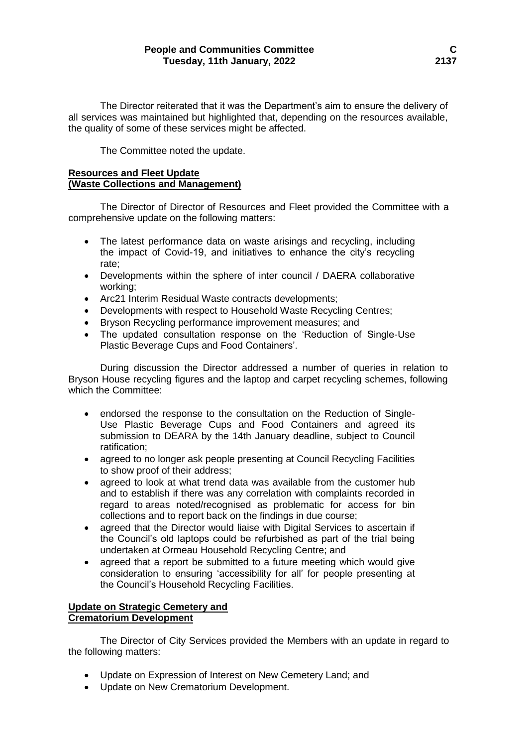The Director reiterated that it was the Department's aim to ensure the delivery of all services was maintained but highlighted that, depending on the resources available, the quality of some of these services might be affected.

The Committee noted the update.

## **Resources and Fleet Update (Waste Collections and Management)**

The Director of Director of Resources and Fleet provided the Committee with a comprehensive update on the following matters:

- The latest performance data on waste arisings and recycling, including the impact of Covid-19, and initiatives to enhance the city's recycling rate;
- Developments within the sphere of inter council / DAERA collaborative working;
- Arc21 Interim Residual Waste contracts developments;
- Developments with respect to Household Waste Recycling Centres;
- Bryson Recycling performance improvement measures; and
- The updated consultation response on the 'Reduction of Single-Use Plastic Beverage Cups and Food Containers'.

During discussion the Director addressed a number of queries in relation to Bryson House recycling figures and the laptop and carpet recycling schemes, following which the Committee:

- endorsed the response to the consultation on the Reduction of Single-Use Plastic Beverage Cups and Food Containers and agreed its submission to DEARA by the 14th January deadline, subject to Council ratification;
- agreed to no longer ask people presenting at Council Recycling Facilities to show proof of their address;
- agreed to look at what trend data was available from the customer hub and to establish if there was any correlation with complaints recorded in regard to areas noted/recognised as problematic for access for bin collections and to report back on the findings in due course;
- agreed that the Director would liaise with Digital Services to ascertain if the Council's old laptops could be refurbished as part of the trial being undertaken at Ormeau Household Recycling Centre; and
- agreed that a report be submitted to a future meeting which would give consideration to ensuring 'accessibility for all' for people presenting at the Council's Household Recycling Facilities.

## **Update on Strategic Cemetery and Crematorium Development**

The Director of City Services provided the Members with an update in regard to the following matters:

- Update on Expression of Interest on New Cemetery Land; and
- Update on New Crematorium Development.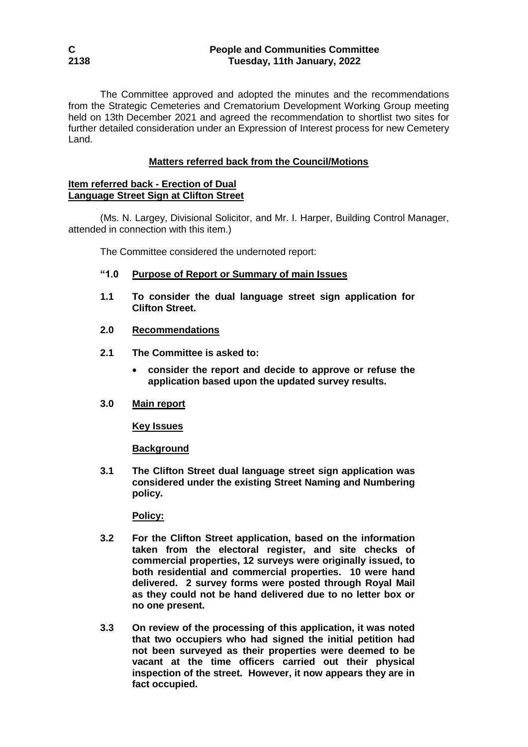The Committee approved and adopted the minutes and the recommendations from the Strategic Cemeteries and Crematorium Development Working Group meeting held on 13th December 2021 and agreed the recommendation to shortlist two sites for further detailed consideration under an Expression of Interest process for new Cemetery Land.

# **Matters referred back from the Council/Motions**

### **Item referred back - Erection of Dual Language Street Sign at Clifton Street**

(Ms. N. Largey, Divisional Solicitor, and Mr. I. Harper, Building Control Manager, attended in connection with this item.)

The Committee considered the undernoted report:

- **"1.0 Purpose of Report or Summary of main Issues**
- **1.1 To consider the dual language street sign application for Clifton Street.**
- **2.0 Recommendations**
- **2.1 The Committee is asked to:** 
	- **consider the report and decide to approve or refuse the application based upon the updated survey results.**
- **3.0 Main report**

**Key Issues**

**Background**

**3.1 The Clifton Street dual language street sign application was considered under the existing Street Naming and Numbering policy.** 

**Policy:**

- **3.2 For the Clifton Street application, based on the information taken from the electoral register, and site checks of commercial properties, 12 surveys were originally issued, to both residential and commercial properties. 10 were hand delivered. 2 survey forms were posted through Royal Mail as they could not be hand delivered due to no letter box or no one present.**
- **3.3 On review of the processing of this application, it was noted that two occupiers who had signed the initial petition had not been surveyed as their properties were deemed to be vacant at the time officers carried out their physical inspection of the street. However, it now appears they are in fact occupied.**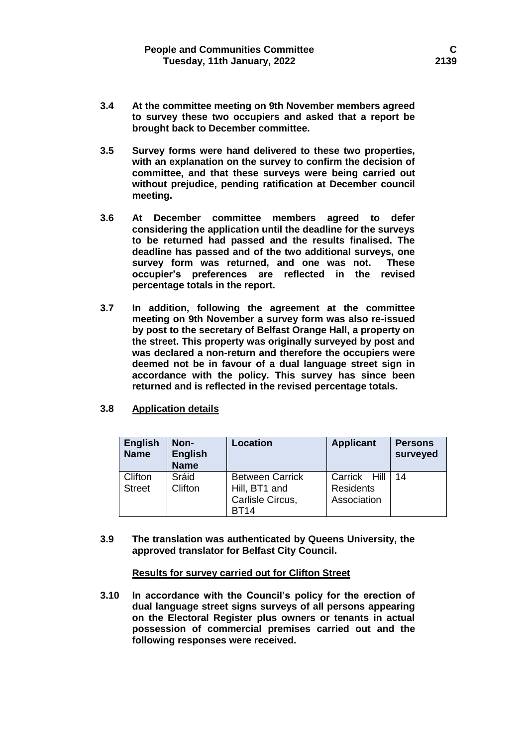- **3.4 At the committee meeting on 9th November members agreed to survey these two occupiers and asked that a report be brought back to December committee.**
- **3.5 Survey forms were hand delivered to these two properties, with an explanation on the survey to confirm the decision of committee, and that these surveys were being carried out without prejudice, pending ratification at December council meeting.**
- **3.6 At December committee members agreed to defer considering the application until the deadline for the surveys to be returned had passed and the results finalised. The deadline has passed and of the two additional surveys, one survey form was returned, and one was not. These occupier's preferences are reflected in the revised percentage totals in the report.**
- **3.7 In addition, following the agreement at the committee meeting on 9th November a survey form was also re-issued by post to the secretary of Belfast Orange Hall, a property on the street. This property was originally surveyed by post and was declared a non-return and therefore the occupiers were deemed not be in favour of a dual language street sign in accordance with the policy. This survey has since been returned and is reflected in the revised percentage totals.**
- **3.8 Application details**

| <b>English</b><br><b>Name</b> | Non-<br><b>English</b><br><b>Name</b> | Location                                                                   | <b>Applicant</b>                                | <b>Persons</b><br>surveyed |
|-------------------------------|---------------------------------------|----------------------------------------------------------------------------|-------------------------------------------------|----------------------------|
| Clifton<br><b>Street</b>      | Sráid<br>Clifton                      | <b>Between Carrick</b><br>Hill, BT1 and<br>Carlisle Circus,<br><b>BT14</b> | Carrick Hill<br><b>Residents</b><br>Association | 14                         |

**3.9 The translation was authenticated by Queens University, the approved translator for Belfast City Council.**

#### **Results for survey carried out for Clifton Street**

**3.10 In accordance with the Council's policy for the erection of dual language street signs surveys of all persons appearing on the Electoral Register plus owners or tenants in actual possession of commercial premises carried out and the following responses were received.**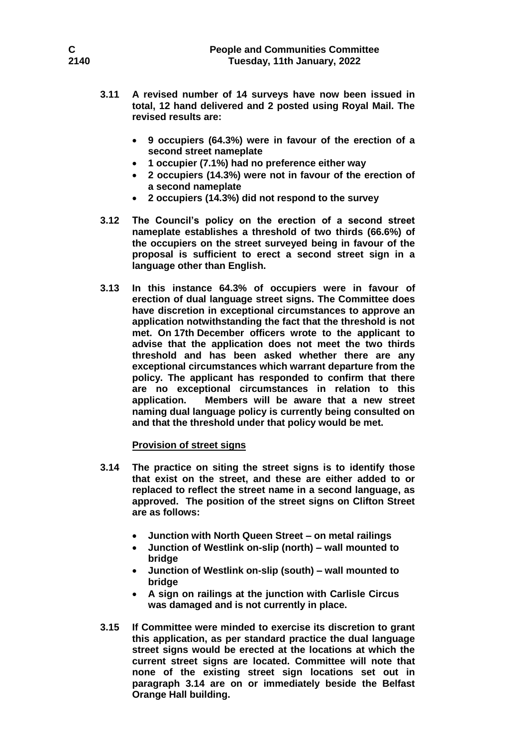- **3.11 A revised number of 14 surveys have now been issued in total, 12 hand delivered and 2 posted using Royal Mail. The revised results are:**
	- **9 occupiers (64.3%) were in favour of the erection of a second street nameplate**
	- **1 occupier (7.1%) had no preference either way**
	- **2 occupiers (14.3%) were not in favour of the erection of a second nameplate**
	- **2 occupiers (14.3%) did not respond to the survey**
- **3.12 The Council's policy on the erection of a second street nameplate establishes a threshold of two thirds (66.6%) of the occupiers on the street surveyed being in favour of the proposal is sufficient to erect a second street sign in a language other than English.**
- **3.13 In this instance 64.3% of occupiers were in favour of erection of dual language street signs. The Committee does have discretion in exceptional circumstances to approve an application notwithstanding the fact that the threshold is not met. On 17th December officers wrote to the applicant to advise that the application does not meet the two thirds threshold and has been asked whether there are any exceptional circumstances which warrant departure from the policy. The applicant has responded to confirm that there are no exceptional circumstances in relation to this application. Members will be aware that a new street naming dual language policy is currently being consulted on and that the threshold under that policy would be met.**

#### **Provision of street signs**

- **3.14 The practice on siting the street signs is to identify those that exist on the street, and these are either added to or replaced to reflect the street name in a second language, as approved. The position of the street signs on Clifton Street are as follows:**
	- **Junction with North Queen Street – on metal railings**
	- **Junction of Westlink on-slip (north) – wall mounted to bridge**
	- **Junction of Westlink on-slip (south) – wall mounted to bridge**
	- **A sign on railings at the junction with Carlisle Circus was damaged and is not currently in place.**
- **3.15 If Committee were minded to exercise its discretion to grant this application, as per standard practice the dual language street signs would be erected at the locations at which the current street signs are located. Committee will note that none of the existing street sign locations set out in paragraph 3.14 are on or immediately beside the Belfast Orange Hall building.**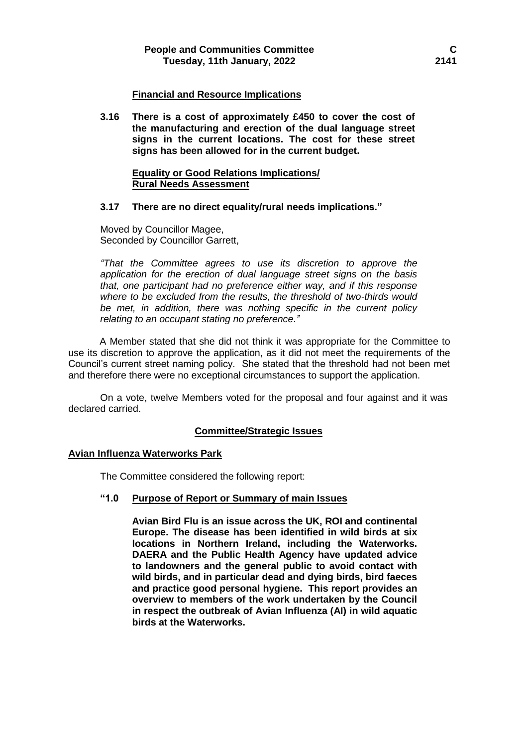### **Financial and Resource Implications**

**3.16 There is a cost of approximately £450 to cover the cost of the manufacturing and erection of the dual language street signs in the current locations. The cost for these street signs has been allowed for in the current budget.** 

## **Equality or Good Relations Implications/ Rural Needs Assessment**

#### **3.17 There are no direct equality/rural needs implications."**

Moved by Councillor Magee, Seconded by Councillor Garrett,

*"That the Committee agrees to use its discretion to approve the application for the erection of dual language street signs on the basis that, one participant had no preference either way, and if this response where to be excluded from the results, the threshold of two-thirds would be met, in addition, there was nothing specific in the current policy relating to an occupant stating no preference."*

A Member stated that she did not think it was appropriate for the Committee to use its discretion to approve the application, as it did not meet the requirements of the Council's current street naming policy. She stated that the threshold had not been met and therefore there were no exceptional circumstances to support the application.

On a vote, twelve Members voted for the proposal and four against and it was declared carried.

# **Committee/Strategic Issues**

#### **Avian Influenza Waterworks Park**

The Committee considered the following report:

#### **"1.0 Purpose of Report or Summary of main Issues**

**Avian Bird Flu is an issue across the UK, ROI and continental Europe. The disease has been identified in wild birds at six locations in Northern Ireland, including the Waterworks. DAERA and the Public Health Agency have updated advice to landowners and the general public to avoid contact with wild birds, and in particular dead and dying birds, bird faeces and practice good personal hygiene. This report provides an overview to members of the work undertaken by the Council in respect the outbreak of Avian Influenza (AI) in wild aquatic birds at the Waterworks.**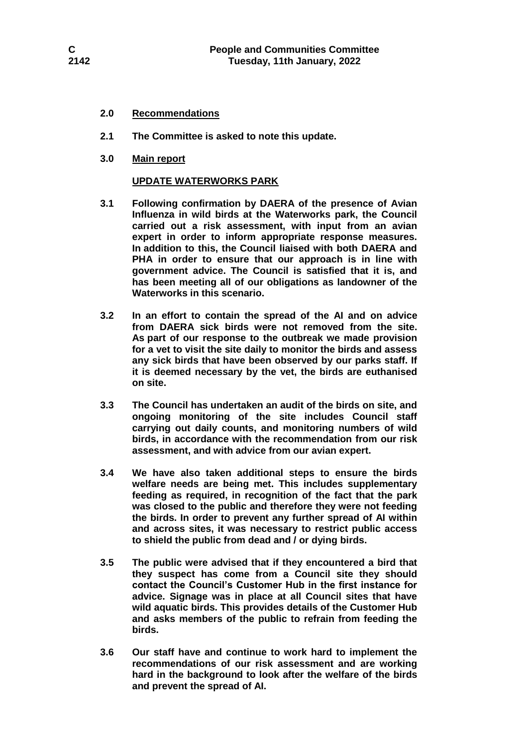## **2.0 Recommendations**

- **2.1 The Committee is asked to note this update.**
- **3.0 Main report**

## **UPDATE WATERWORKS PARK**

- **3.1 Following confirmation by DAERA of the presence of Avian Influenza in wild birds at the Waterworks park, the Council carried out a risk assessment, with input from an avian expert in order to inform appropriate response measures. In addition to this, the Council liaised with both DAERA and PHA in order to ensure that our approach is in line with government advice. The Council is satisfied that it is, and has been meeting all of our obligations as landowner of the Waterworks in this scenario.**
- **3.2 In an effort to contain the spread of the AI and on advice from DAERA sick birds were not removed from the site. As part of our response to the outbreak we made provision for a vet to visit the site daily to monitor the birds and assess any sick birds that have been observed by our parks staff. If it is deemed necessary by the vet, the birds are euthanised on site.**
- **3.3 The Council has undertaken an audit of the birds on site, and ongoing monitoring of the site includes Council staff carrying out daily counts, and monitoring numbers of wild birds, in accordance with the recommendation from our risk assessment, and with advice from our avian expert.**
- **3.4 We have also taken additional steps to ensure the birds welfare needs are being met. This includes supplementary feeding as required, in recognition of the fact that the park was closed to the public and therefore they were not feeding the birds. In order to prevent any further spread of AI within and across sites, it was necessary to restrict public access to shield the public from dead and / or dying birds.**
- **3.5 The public were advised that if they encountered a bird that they suspect has come from a Council site they should contact the Council's Customer Hub in the first instance for advice. Signage was in place at all Council sites that have wild aquatic birds. This provides details of the Customer Hub and asks members of the public to refrain from feeding the birds.**
- **3.6 Our staff have and continue to work hard to implement the recommendations of our risk assessment and are working hard in the background to look after the welfare of the birds and prevent the spread of AI.**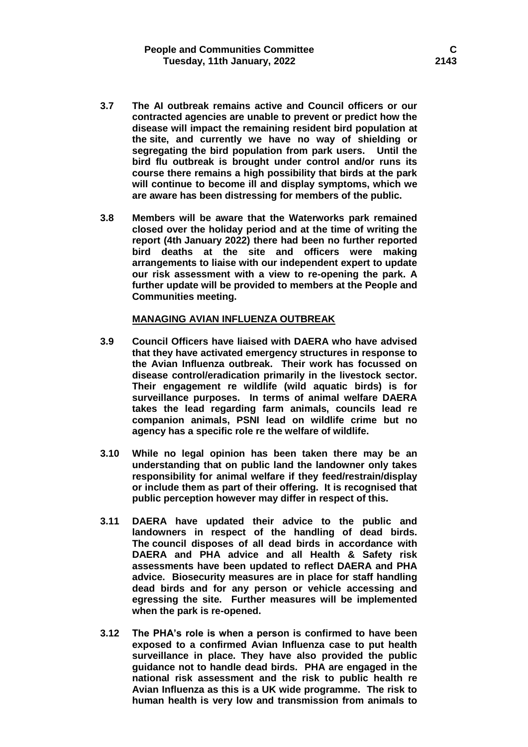- **3.7 The AI outbreak remains active and Council officers or our contracted agencies are unable to prevent or predict how the disease will impact the remaining resident bird population at the site, and currently we have no way of shielding or segregating the bird population from park users. Until the bird flu outbreak is brought under control and/or runs its course there remains a high possibility that birds at the park will continue to become ill and display symptoms, which we are aware has been distressing for members of the public.**
- **3.8 Members will be aware that the Waterworks park remained closed over the holiday period and at the time of writing the report (4th January 2022) there had been no further reported bird deaths at the site and officers were making arrangements to liaise with our independent expert to update our risk assessment with a view to re-opening the park. A further update will be provided to members at the People and Communities meeting.**

#### **MANAGING AVIAN INFLUENZA OUTBREAK**

- **3.9 Council Officers have liaised with DAERA who have advised that they have activated emergency structures in response to the Avian Influenza outbreak. Their work has focussed on disease control/eradication primarily in the livestock sector. Their engagement re wildlife (wild aquatic birds) is for surveillance purposes. In terms of animal welfare DAERA takes the lead regarding farm animals, councils lead re companion animals, PSNI lead on wildlife crime but no agency has a specific role re the welfare of wildlife.**
- **3.10 While no legal opinion has been taken there may be an understanding that on public land the landowner only takes responsibility for animal welfare if they feed/restrain/display or include them as part of their offering. It is recognised that public perception however may differ in respect of this.**
- **3.11 DAERA have updated their advice to the public and landowners in respect of the handling of dead birds. The council disposes of all dead birds in accordance with DAERA and PHA advice and all Health & Safety risk assessments have been updated to reflect DAERA and PHA advice. Biosecurity measures are in place for staff handling dead birds and for any person or vehicle accessing and egressing the site. Further measures will be implemented when the park is re-opened.**
- **3.12 The PHA's role is when a person is confirmed to have been exposed to a confirmed Avian Influenza case to put health surveillance in place. They have also provided the public guidance not to handle dead birds. PHA are engaged in the national risk assessment and the risk to public health re Avian Influenza as this is a UK wide programme. The risk to human health is very low and transmission from animals to**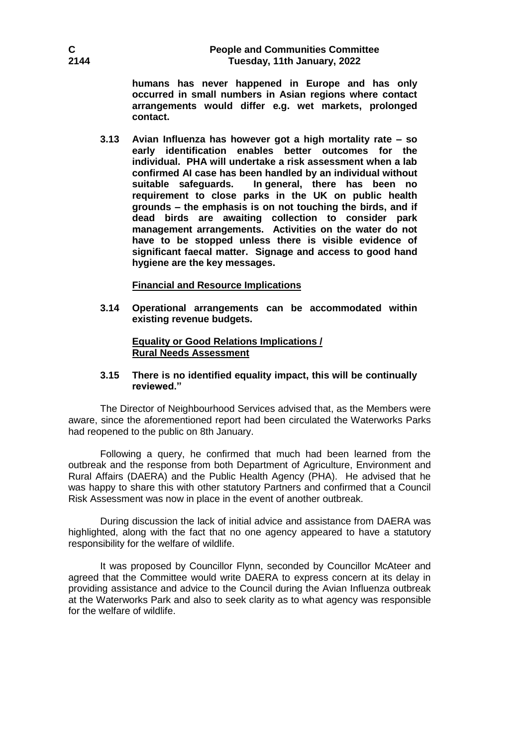# **C People and Communities Committee 2144 Tuesday, 11th January, 2022**

**humans has never happened in Europe and has only occurred in small numbers in Asian regions where contact arrangements would differ e.g. wet markets, prolonged contact.** 

**3.13 Avian Influenza has however got a high mortality rate – so early identification enables better outcomes for the individual. PHA will undertake a risk assessment when a lab confirmed AI case has been handled by an individual without suitable safeguards. In general, there has been no requirement to close parks in the UK on public health grounds – the emphasis is on not touching the birds, and if dead birds are awaiting collection to consider park management arrangements. Activities on the water do not have to be stopped unless there is visible evidence of significant faecal matter. Signage and access to good hand hygiene are the key messages.**

## **Financial and Resource Implications**

**3.14 Operational arrangements can be accommodated within existing revenue budgets.** 

## **Equality or Good Relations Implications / Rural Needs Assessment**

## **3.15 There is no identified equality impact, this will be continually reviewed."**

The Director of Neighbourhood Services advised that, as the Members were aware, since the aforementioned report had been circulated the Waterworks Parks had reopened to the public on 8th January.

Following a query, he confirmed that much had been learned from the outbreak and the response from both Department of Agriculture, Environment and Rural Affairs (DAERA) and the Public Health Agency (PHA). He advised that he was happy to share this with other statutory Partners and confirmed that a Council Risk Assessment was now in place in the event of another outbreak.

During discussion the lack of initial advice and assistance from DAERA was highlighted, along with the fact that no one agency appeared to have a statutory responsibility for the welfare of wildlife.

It was proposed by Councillor Flynn, seconded by Councillor McAteer and agreed that the Committee would write DAERA to express concern at its delay in providing assistance and advice to the Council during the Avian Influenza outbreak at the Waterworks Park and also to seek clarity as to what agency was responsible for the welfare of wildlife.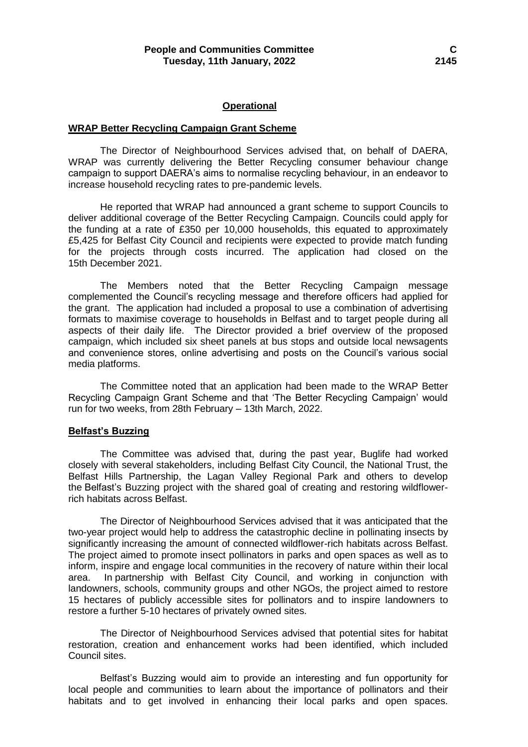#### **Operational**

#### **WRAP Better Recycling Campaign Grant Scheme**

The Director of Neighbourhood Services advised that, on behalf of DAERA, WRAP was currently delivering the Better Recycling consumer behaviour change campaign to support DAERA's aims to normalise recycling behaviour, in an endeavor to increase household recycling rates to pre-pandemic levels.

He reported that WRAP had announced a grant scheme to support Councils to deliver additional coverage of the Better Recycling Campaign. Councils could apply for the funding at a rate of £350 per 10,000 households, this equated to approximately £5,425 for Belfast City Council and recipients were expected to provide match funding for the projects through costs incurred. The application had closed on the 15th December 2021.

The Members noted that the Better Recycling Campaign message complemented the Council's recycling message and therefore officers had applied for the grant. The application had included a proposal to use a combination of advertising formats to maximise coverage to households in Belfast and to target people during all aspects of their daily life. The Director provided a brief overview of the proposed campaign, which included six sheet panels at bus stops and outside local newsagents and convenience stores, online advertising and posts on the Council's various social media platforms.

The Committee noted that an application had been made to the WRAP Better Recycling Campaign Grant Scheme and that 'The Better Recycling Campaign' would run for two weeks, from 28th February – 13th March, 2022.

#### **Belfast's Buzzing**

The Committee was advised that, during the past year, Buglife had worked closely with several stakeholders, including Belfast City Council, the National Trust, the Belfast Hills Partnership, the Lagan Valley Regional Park and others to develop the Belfast's Buzzing project with the shared goal of creating and restoring wildflowerrich habitats across Belfast.

The Director of Neighbourhood Services advised that it was anticipated that the two-year project would help to address the catastrophic decline in pollinating insects by significantly increasing the amount of connected wildflower-rich habitats across Belfast. The project aimed to promote insect pollinators in parks and open spaces as well as to inform, inspire and engage local communities in the recovery of nature within their local area. In partnership with Belfast City Council, and working in conjunction with landowners, schools, community groups and other NGOs, the project aimed to restore 15 hectares of publicly accessible sites for pollinators and to inspire landowners to restore a further 5-10 hectares of privately owned sites.

The Director of Neighbourhood Services advised that potential sites for habitat restoration, creation and enhancement works had been identified, which included Council sites.

Belfast's Buzzing would aim to provide an interesting and fun opportunity for local people and communities to learn about the importance of pollinators and their habitats and to get involved in enhancing their local parks and open spaces.